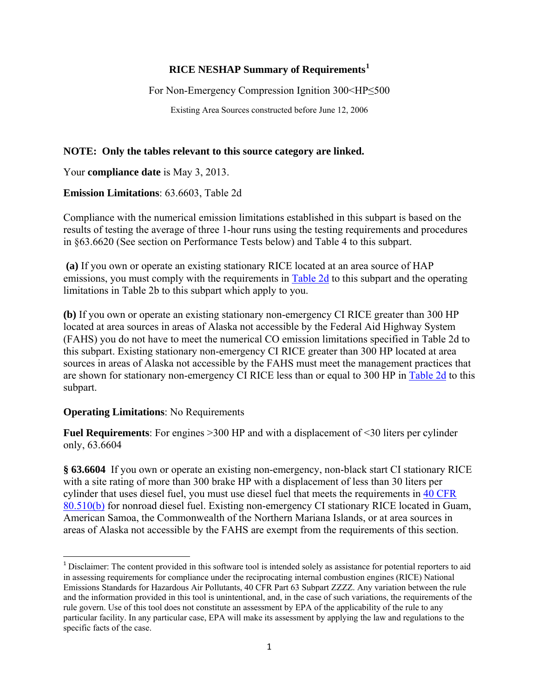### **RICE NESHAP Summary of Requirements[1](#page-0-0)**

For Non-Emergency Compression Ignition 300<HP≤500

Existing Area Sources constructed before June 12, 2006

### **NOTE: Only the tables relevant to this source category are linked.**

Your **compliance date** is May 3, 2013.

**Emission Limitations**: 63.6603, Table 2d

Compliance with the numerical emission limitations established in this subpart is based on the results of testing the average of three 1-hour runs using the testing requirements and procedures in §63.6620 (See section on Performance Tests below) and Table 4 to this subpart.

 **(a)** If you own or operate an existing stationary RICE located at an area source of HAP emissions, you must comply with the requirements in **Table 2d** to this subpart and the operating limitations in Table 2b to this subpart which apply to you.

**(b)** If you own or operate an existing stationary non-emergency CI RICE greater than 300 HP located at area sources in areas of Alaska not accessible by the Federal Aid Highway System (FAHS) you do not have to meet the numerical CO emission limitations specified in Table 2d to this subpart. Existing stationary non-emergency CI RICE greater than 300 HP located at area sources in areas of Alaska not accessible by the FAHS must meet the management practices that are shown for stationary non-emergency CI RICE less than or equal to 300 HP in [Table 2d](http://ecfr.gpoaccess.gov/cgi/t/text/text-idx?c=ecfr&sid=515d778a8a1bae4f834e821dd4d89f21&rgn=div9&view=text&node=40:13.0.1.1.1.1.116.27.6&idno=40) to this subpart.

#### **Operating Limitations**: No Requirements

**Fuel Requirements**: For engines >300 HP and with a displacement of <30 liters per cylinder only, 63.6604

**§ 63.6604** If you own or operate an existing non-emergency, non-black start CI stationary RICE with a site rating of more than 300 brake HP with a displacement of less than 30 liters per cylinder that uses diesel fuel, you must use diesel fuel that meets the requirements in [40 CFR](http://ecfr.gpoaccess.gov/cgi/t/text/text-idx?c=ecfr&sid=a3ae0b7fe27c6c66ae4652acc0d5db56&rgn=div5&view=text&node=40:16.0.1.1.9&idno=40)  [80.510\(b\)](http://ecfr.gpoaccess.gov/cgi/t/text/text-idx?c=ecfr&sid=a3ae0b7fe27c6c66ae4652acc0d5db56&rgn=div5&view=text&node=40:16.0.1.1.9&idno=40) for nonroad diesel fuel. Existing non-emergency CI stationary RICE located in Guam, American Samoa, the Commonwealth of the Northern Mariana Islands, or at area sources in areas of Alaska not accessible by the FAHS are exempt from the requirements of this section.

<span id="page-0-0"></span><sup>&</sup>lt;sup>1</sup> Disclaimer: The content provided in this software tool is intended solely as assistance for potential reporters to aid in assessing requirements for compliance under the reciprocating internal combustion engines (RICE) National Emissions Standards for Hazardous Air Pollutants, 40 CFR Part 63 Subpart ZZZZ. Any variation between the rule and the information provided in this tool is unintentional, and, in the case of such variations, the requirements of the rule govern. Use of this tool does not constitute an assessment by EPA of the applicability of the rule to any particular facility. In any particular case, EPA will make its assessment by applying the law and regulations to the specific facts of the case.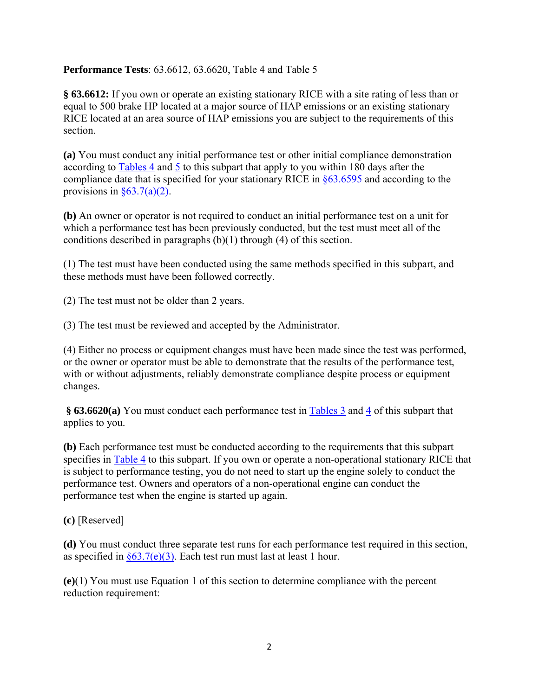## **Performance Tests**: 63.6612, 63.6620, Table 4 and Table 5

**§ 63.6612:** If you own or operate an existing stationary RICE with a site rating of less than or equal to 500 brake HP located at a major source of HAP emissions or an existing stationary RICE located at an area source of HAP emissions you are subject to the requirements of this section.

**(a)** You must conduct any initial performance test or other initial compliance demonstration according to [Tables 4](http://ecfr.gpoaccess.gov/cgi/t/text/text-idx?c=ecfr&sid=515d778a8a1bae4f834e821dd4d89f21&rgn=div9&view=text&node=40:13.0.1.1.1.1.116.27.8&idno=40) and [5](http://ecfr.gpoaccess.gov/cgi/t/text/text-idx?c=ecfr&sid=515d778a8a1bae4f834e821dd4d89f21&rgn=div9&view=text&node=40:13.0.1.1.1.1.116.27.9&idno=40) to this subpart that apply to you within 180 days after the compliance date that is specified for your stationary RICE in [§63.6595](http://ecfr.gpoaccess.gov/cgi/t/text/text-idx?c=ecfr&sid=dc878fa5cf8237b03b7b19281bd5a59d&rgn=div8&view=text&node=40:13.0.1.1.1.1.109.4&idno=40) and according to the provisions in  $§63.7(a)(2)$ .

**(b)** An owner or operator is not required to conduct an initial performance test on a unit for which a performance test has been previously conducted, but the test must meet all of the conditions described in paragraphs (b)(1) through (4) of this section.

(1) The test must have been conducted using the same methods specified in this subpart, and these methods must have been followed correctly.

(2) The test must not be older than 2 years.

(3) The test must be reviewed and accepted by the Administrator.

(4) Either no process or equipment changes must have been made since the test was performed, or the owner or operator must be able to demonstrate that the results of the performance test, with or without adjustments, reliably demonstrate compliance despite process or equipment changes.

§ 63.6620(a) You must conduct each performance test in **Tables 3** and [4](http://ecfr.gpoaccess.gov/cgi/t/text/text-idx?c=ecfr&sid=515d778a8a1bae4f834e821dd4d89f21&rgn=div9&view=text&node=40:13.0.1.1.1.1.116.27.8&idno=40) of this subpart that applies to you.

**(b)** Each performance test must be conducted according to the requirements that this subpart specifies in [Table 4](http://ecfr.gpoaccess.gov/cgi/t/text/text-idx?c=ecfr&sid=515d778a8a1bae4f834e821dd4d89f21&rgn=div9&view=text&node=40:13.0.1.1.1.1.116.27.8&idno=40) to this subpart. If you own or operate a non-operational stationary RICE that is subject to performance testing, you do not need to start up the engine solely to conduct the performance test. Owners and operators of a non-operational engine can conduct the performance test when the engine is started up again.

**(c)** [Reserved]

**(d)** You must conduct three separate test runs for each performance test required in this section, as specified in  $\S 63.7(e)(3)$ . Each test run must last at least 1 hour.

**(e)**(1) You must use Equation 1 of this section to determine compliance with the percent reduction requirement: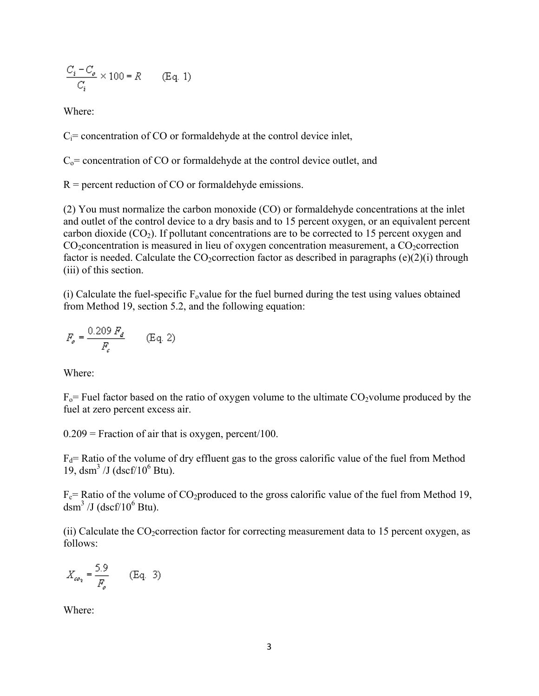$$
\frac{C_i - C_o}{C_i} \times 100 = R \qquad \text{(Eq. 1)}
$$

Where:

 $C_i$ = concentration of CO or formaldehyde at the control device inlet,

 $C_0$  = concentration of CO or formaldehyde at the control device outlet, and

 $R$  = percent reduction of CO or formaldehyde emissions.

(2) You must normalize the carbon monoxide (CO) or formaldehyde concentrations at the inlet and outlet of the control device to a dry basis and to 15 percent oxygen, or an equivalent percent carbon dioxide  $(CO_2)$ . If pollutant concentrations are to be corrected to 15 percent oxygen and  $CO<sub>2</sub> concentration$  is measured in lieu of oxygen concentration measurement, a  $CO<sub>2</sub> correction$ factor is needed. Calculate the CO<sub>2</sub>correction factor as described in paragraphs (e)(2)(i) through (iii) of this section.

(i) Calculate the fuel-specific  $F_0$  value for the fuel burned during the test using values obtained from Method 19, section 5.2, and the following equation:

$$
F_{\rho} = \frac{0.209 \, F_d}{F_c} \qquad \text{(Eq. 2)}
$$

Where:

 $F_0$ = Fuel factor based on the ratio of oxygen volume to the ultimate CO<sub>2</sub>volume produced by the fuel at zero percent excess air.

 $0.209$  = Fraction of air that is oxygen, percent/100.

 $F_d$ = Ratio of the volume of dry effluent gas to the gross calorific value of the fuel from Method 19, dsm<sup>3</sup> /J (dscf/10<sup>6</sup> Btu).

 $F_c$ = Ratio of the volume of CO<sub>2</sub>produced to the gross calorific value of the fuel from Method 19, dsm<sup>3</sup> /J (dscf/ $10^6$  Btu).

(ii) Calculate the  $CO_2$  correction factor for correcting measurement data to 15 percent oxygen, as follows:

$$
X_{\omega_2} = \frac{5.9}{F_o} \qquad \text{(Eq. 3)}
$$

Where: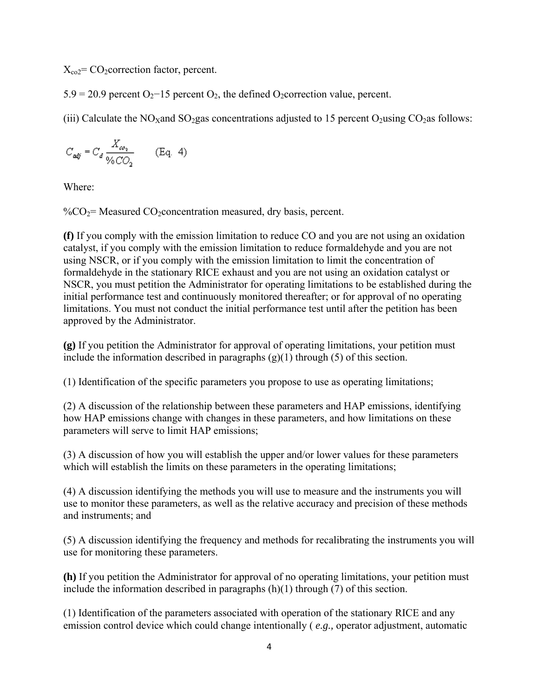$X_{eq} = CO_2$ correction factor, percent.

 $5.9 = 20.9$  percent O<sub>2</sub>−15 percent O<sub>2</sub>, the defined O<sub>2</sub>correction value, percent.

(iii) Calculate the NO<sub>x</sub>and SO<sub>2</sub>gas concentrations adjusted to 15 percent O<sub>2</sub>using CO<sub>2</sub>as follows:

$$
C_{\textit{adj}} = C_d \frac{X_{\omega_2}}{\sqrt{6C_2}} \qquad \text{(Eq. 4)}
$$

Where:

 $\%CO_2$ = Measured CO<sub>2</sub>concentration measured, dry basis, percent.

**(f)** If you comply with the emission limitation to reduce CO and you are not using an oxidation catalyst, if you comply with the emission limitation to reduce formaldehyde and you are not using NSCR, or if you comply with the emission limitation to limit the concentration of formaldehyde in the stationary RICE exhaust and you are not using an oxidation catalyst or NSCR, you must petition the Administrator for operating limitations to be established during the initial performance test and continuously monitored thereafter; or for approval of no operating limitations. You must not conduct the initial performance test until after the petition has been approved by the Administrator.

**(g)** If you petition the Administrator for approval of operating limitations, your petition must include the information described in paragraphs  $(g)(1)$  through (5) of this section.

(1) Identification of the specific parameters you propose to use as operating limitations;

(2) A discussion of the relationship between these parameters and HAP emissions, identifying how HAP emissions change with changes in these parameters, and how limitations on these parameters will serve to limit HAP emissions;

(3) A discussion of how you will establish the upper and/or lower values for these parameters which will establish the limits on these parameters in the operating limitations;

(4) A discussion identifying the methods you will use to measure and the instruments you will use to monitor these parameters, as well as the relative accuracy and precision of these methods and instruments; and

(5) A discussion identifying the frequency and methods for recalibrating the instruments you will use for monitoring these parameters.

**(h)** If you petition the Administrator for approval of no operating limitations, your petition must include the information described in paragraphs (h)(1) through (7) of this section.

(1) Identification of the parameters associated with operation of the stationary RICE and any emission control device which could change intentionally ( *e.g.,* operator adjustment, automatic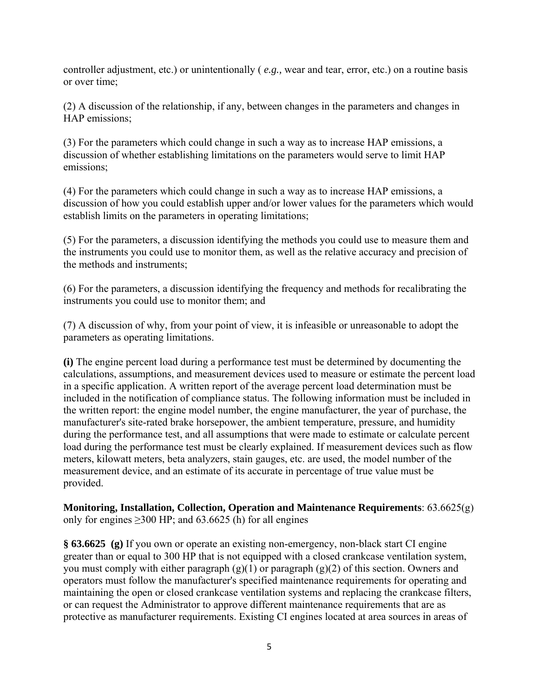controller adjustment, etc.) or unintentionally ( *e.g.,* wear and tear, error, etc.) on a routine basis or over time;

(2) A discussion of the relationship, if any, between changes in the parameters and changes in HAP emissions;

(3) For the parameters which could change in such a way as to increase HAP emissions, a discussion of whether establishing limitations on the parameters would serve to limit HAP emissions;

(4) For the parameters which could change in such a way as to increase HAP emissions, a discussion of how you could establish upper and/or lower values for the parameters which would establish limits on the parameters in operating limitations;

(5) For the parameters, a discussion identifying the methods you could use to measure them and the instruments you could use to monitor them, as well as the relative accuracy and precision of the methods and instruments;

(6) For the parameters, a discussion identifying the frequency and methods for recalibrating the instruments you could use to monitor them; and

(7) A discussion of why, from your point of view, it is infeasible or unreasonable to adopt the parameters as operating limitations.

**(i)** The engine percent load during a performance test must be determined by documenting the calculations, assumptions, and measurement devices used to measure or estimate the percent load in a specific application. A written report of the average percent load determination must be included in the notification of compliance status. The following information must be included in the written report: the engine model number, the engine manufacturer, the year of purchase, the manufacturer's site-rated brake horsepower, the ambient temperature, pressure, and humidity during the performance test, and all assumptions that were made to estimate or calculate percent load during the performance test must be clearly explained. If measurement devices such as flow meters, kilowatt meters, beta analyzers, stain gauges, etc. are used, the model number of the measurement device, and an estimate of its accurate in percentage of true value must be provided.

**Monitoring, Installation, Collection, Operation and Maintenance Requirements**: 63.6625(g) only for engines  $≥300$  HP; and  $63.6625$  (h) for all engines

**§ 63.6625 (g)** If you own or operate an existing non-emergency, non-black start CI engine greater than or equal to 300 HP that is not equipped with a closed crankcase ventilation system, you must comply with either paragraph  $(g)(1)$  or paragraph  $(g)(2)$  of this section. Owners and operators must follow the manufacturer's specified maintenance requirements for operating and maintaining the open or closed crankcase ventilation systems and replacing the crankcase filters, or can request the Administrator to approve different maintenance requirements that are as protective as manufacturer requirements. Existing CI engines located at area sources in areas of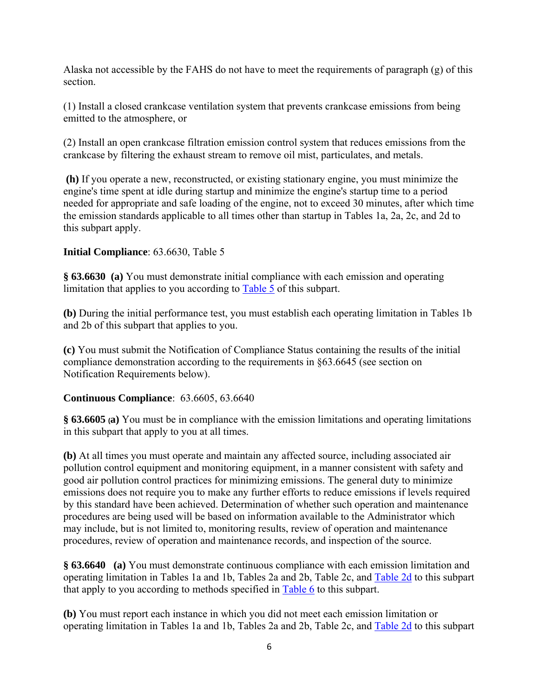Alaska not accessible by the FAHS do not have to meet the requirements of paragraph (g) of this section.

(1) Install a closed crankcase ventilation system that prevents crankcase emissions from being emitted to the atmosphere, or

(2) Install an open crankcase filtration emission control system that reduces emissions from the crankcase by filtering the exhaust stream to remove oil mist, particulates, and metals.

 **(h)** If you operate a new, reconstructed, or existing stationary engine, you must minimize the engine's time spent at idle during startup and minimize the engine's startup time to a period needed for appropriate and safe loading of the engine, not to exceed 30 minutes, after which time the emission standards applicable to all times other than startup in Tables 1a, 2a, 2c, and 2d to this subpart apply.

## **Initial Compliance**: 63.6630, Table 5

**§ 63.6630 (a)** You must demonstrate initial compliance with each emission and operating limitation that applies to you according to [Table 5](http://ecfr.gpoaccess.gov/cgi/t/text/text-idx?c=ecfr&sid=515d778a8a1bae4f834e821dd4d89f21&rgn=div9&view=text&node=40:13.0.1.1.1.1.116.27.9&idno=40) of this subpart.

**(b)** During the initial performance test, you must establish each operating limitation in Tables 1b and 2b of this subpart that applies to you.

**(c)** You must submit the Notification of Compliance Status containing the results of the initial compliance demonstration according to the requirements in §63.6645 (see section on Notification Requirements below).

#### **Continuous Compliance**: 63.6605, 63.6640

**§ 63.6605 (a)** You must be in compliance with the emission limitations and operating limitations in this subpart that apply to you at all times.

**(b)** At all times you must operate and maintain any affected source, including associated air pollution control equipment and monitoring equipment, in a manner consistent with safety and good air pollution control practices for minimizing emissions. The general duty to minimize emissions does not require you to make any further efforts to reduce emissions if levels required by this standard have been achieved. Determination of whether such operation and maintenance procedures are being used will be based on information available to the Administrator which may include, but is not limited to, monitoring results, review of operation and maintenance procedures, review of operation and maintenance records, and inspection of the source.

**§ 63.6640 (a)** You must demonstrate continuous compliance with each emission limitation and operating limitation in Tables 1a and 1b, Tables 2a and 2b, Table 2c, and [Table 2d](http://ecfr.gpoaccess.gov/cgi/t/text/text-idx?c=ecfr&sid=515d778a8a1bae4f834e821dd4d89f21&rgn=div9&view=text&node=40:13.0.1.1.1.1.116.27.6&idno=40) to this subpart that apply to you according to methods specified in [Table 6](http://ecfr.gpoaccess.gov/cgi/t/text/text-idx?c=ecfr&sid=515d778a8a1bae4f834e821dd4d89f21&rgn=div9&view=text&node=40:13.0.1.1.1.1.116.27.12&idno=40) to this subpart.

**(b)** You must report each instance in which you did not meet each emission limitation or operating limitation in Tables 1a and 1b, Tables 2a and 2b, Table 2c, and [Table 2d](http://ecfr.gpoaccess.gov/cgi/t/text/text-idx?c=ecfr&sid=515d778a8a1bae4f834e821dd4d89f21&rgn=div9&view=text&node=40:13.0.1.1.1.1.116.27.6&idno=40) to this subpart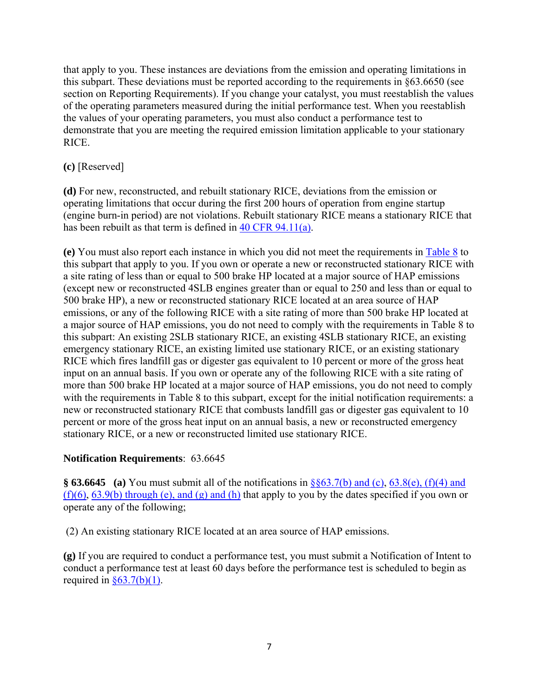that apply to you. These instances are deviations from the emission and operating limitations in this subpart. These deviations must be reported according to the requirements in §63.6650 (see section on Reporting Requirements). If you change your catalyst, you must reestablish the values of the operating parameters measured during the initial performance test. When you reestablish the values of your operating parameters, you must also conduct a performance test to demonstrate that you are meeting the required emission limitation applicable to your stationary RICE.

# **(c)** [Reserved]

**(d)** For new, reconstructed, and rebuilt stationary RICE, deviations from the emission or operating limitations that occur during the first 200 hours of operation from engine startup (engine burn-in period) are not violations. Rebuilt stationary RICE means a stationary RICE that has been rebuilt as that term is defined in [40 CFR 94.11\(a\)](http://ecfr.gpoaccess.gov/cgi/t/text/text-idx?c=ecfr&sid=a3ae0b7fe27c6c66ae4652acc0d5db56&rgn=div5&view=text&node=40:20.0.1.1.8&idno=40).

**(e)** You must also report each instance in which you did not meet the requirements in [Table 8](http://ecfr.gpoaccess.gov/cgi/t/text/text-idx?c=ecfr&sid=515d778a8a1bae4f834e821dd4d89f21&rgn=div9&view=text&node=40:13.0.1.1.1.1.116.27.12&idno=40) to this subpart that apply to you. If you own or operate a new or reconstructed stationary RICE with a site rating of less than or equal to 500 brake HP located at a major source of HAP emissions (except new or reconstructed 4SLB engines greater than or equal to 250 and less than or equal to 500 brake HP), a new or reconstructed stationary RICE located at an area source of HAP emissions, or any of the following RICE with a site rating of more than 500 brake HP located at a major source of HAP emissions, you do not need to comply with the requirements in Table 8 to this subpart: An existing 2SLB stationary RICE, an existing 4SLB stationary RICE, an existing emergency stationary RICE, an existing limited use stationary RICE, or an existing stationary RICE which fires landfill gas or digester gas equivalent to 10 percent or more of the gross heat input on an annual basis. If you own or operate any of the following RICE with a site rating of more than 500 brake HP located at a major source of HAP emissions, you do not need to comply with the requirements in Table 8 to this subpart, except for the initial notification requirements: a new or reconstructed stationary RICE that combusts landfill gas or digester gas equivalent to 10 percent or more of the gross heat input on an annual basis, a new or reconstructed emergency stationary RICE, or a new or reconstructed limited use stationary RICE.

## **Notification Requirements**: 63.6645

**§ 63.6645 (a)** You must submit all of the notifications in [§§63.7\(b\) and \(c\)](http://ecfr.gpoaccess.gov/cgi/t/text/text-idx?c=ecfr&sid=d779d21ea1eaedb94bede740638c875a&rgn=div8&view=text&node=40:9.0.1.1.1.1.5.7&idno=40), [63.8\(e\), \(f\)\(4\) and](http://ecfr.gpoaccess.gov/cgi/t/text/text-idx?c=ecfr&sid=dc878fa5cf8237b03b7b19281bd5a59d&rgn=div8&view=text&node=40:13.0.1.1.1.9.178.5&idno=40)   $(f)(6)$ , [63.9\(b\) through \(e\), and \(g\) and \(h\)](http://ecfr.gpoaccess.gov/cgi/t/text/text-idx?c=ecfr&sid=d779d21ea1eaedb94bede740638c875a&rgn=div8&view=text&node=40:9.0.1.1.1.1.5.9&idno=40) that apply to you by the dates specified if you own or operate any of the following;

(2) An existing stationary RICE located at an area source of HAP emissions.

**(g)** If you are required to conduct a performance test, you must submit a Notification of Intent to conduct a performance test at least 60 days before the performance test is scheduled to begin as required in  $§63.7(b)(1)$ .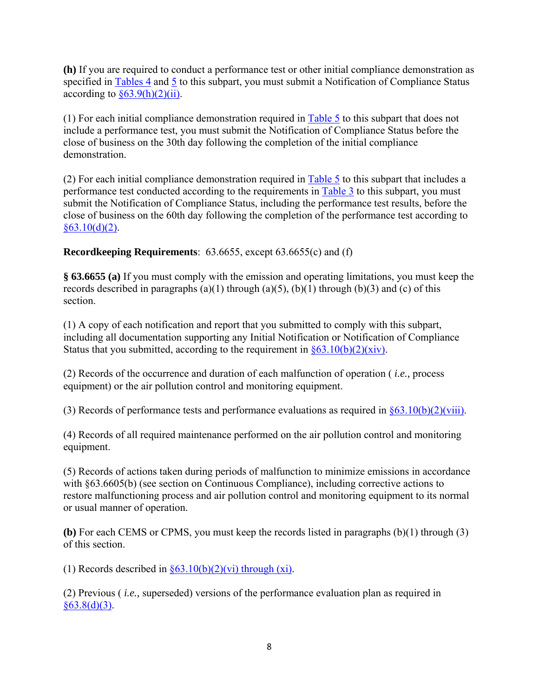**(h)** If you are required to conduct a performance test or other initial compliance demonstration as specified in [Tables 4](http://ecfr.gpoaccess.gov/cgi/t/text/text-idx?c=ecfr&sid=515d778a8a1bae4f834e821dd4d89f21&rgn=div9&view=text&node=40:13.0.1.1.1.1.116.27.8&idno=40) and [5](http://ecfr.gpoaccess.gov/cgi/t/text/text-idx?c=ecfr&sid=515d778a8a1bae4f834e821dd4d89f21&rgn=div9&view=text&node=40:13.0.1.1.1.1.116.27.9&idno=40) to this subpart, you must submit a Notification of Compliance Status according to  $\S 63.9(h)(2)(ii)$ .

(1) For each initial compliance demonstration required in  $Table 5$  to this subpart that does not include a performance test, you must submit the Notification of Compliance Status before the close of business on the 30th day following the completion of the initial compliance demonstration.

(2) For each initial compliance demonstration required in [Table 5](http://ecfr.gpoaccess.gov/cgi/t/text/text-idx?c=ecfr&sid=515d778a8a1bae4f834e821dd4d89f21&rgn=div9&view=text&node=40:13.0.1.1.1.1.116.27.9&idno=40) to this subpart that includes a performance test conducted according to the requirements in [Table 3](http://ecfr.gpoaccess.gov/cgi/t/text/text-idx?c=ecfr&sid=515d778a8a1bae4f834e821dd4d89f21&rgn=div9&view=text&node=40:13.0.1.1.1.1.116.27.7&idno=40) to this subpart, you must submit the Notification of Compliance Status, including the performance test results, before the close of business on the 60th day following the completion of the performance test according to  $§63.10(d)(2)$ .

# **Recordkeeping Requirements**: 63.6655, except 63.6655(c) and (f)

**§ 63.6655 (a)** If you must comply with the emission and operating limitations, you must keep the records described in paragraphs (a)(1) through (a)(5), (b)(1) through (b)(3) and (c) of this section.

(1) A copy of each notification and report that you submitted to comply with this subpart, including all documentation supporting any Initial Notification or Notification of Compliance Status that you submitted, according to the requirement in  $\frac{63.10(b)(2)(xiv)}{2}$ .

(2) Records of the occurrence and duration of each malfunction of operation ( *i.e.,* process equipment) or the air pollution control and monitoring equipment.

(3) Records of performance tests and performance evaluations as required in  $\frac{\$63.10(b)(2)(viii)}{2}$ .

(4) Records of all required maintenance performed on the air pollution control and monitoring equipment.

(5) Records of actions taken during periods of malfunction to minimize emissions in accordance with §63.6605(b) (see section on Continuous Compliance), including corrective actions to restore malfunctioning process and air pollution control and monitoring equipment to its normal or usual manner of operation.

**(b)** For each CEMS or CPMS, you must keep the records listed in paragraphs (b)(1) through (3) of this section.

(1) Records described in  $\frac{\S_3.10(b)(2)}{v}$  through (xi).

(2) Previous ( *i.e.,* superseded) versions of the performance evaluation plan as required in  $§63.8(d)(3).$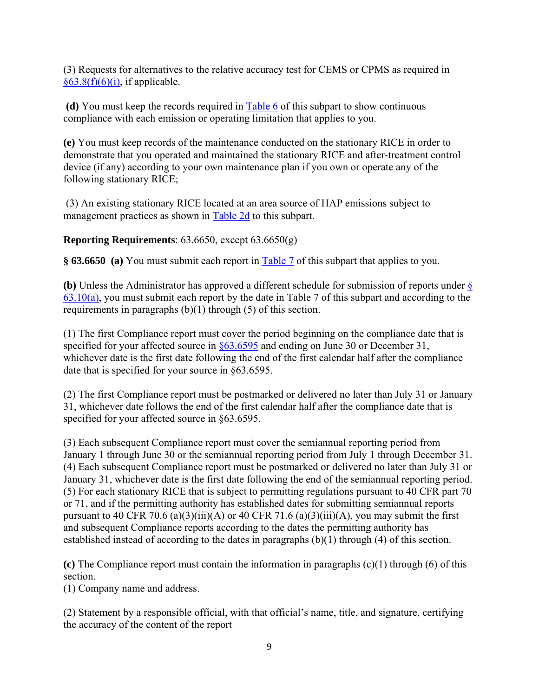(3) Requests for alternatives to the relative accuracy test for CEMS or CPMS as required in  $§63.8(f)(6)(i)$ , if applicable.

 **(d)** You must keep the records required in [Table 6](http://ecfr.gpoaccess.gov/cgi/t/text/text-idx?c=ecfr&sid=515d778a8a1bae4f834e821dd4d89f21&rgn=div9&view=text&node=40:13.0.1.1.1.1.116.27.12&idno=40) of this subpart to show continuous compliance with each emission or operating limitation that applies to you.

**(e)** You must keep records of the maintenance conducted on the stationary RICE in order to demonstrate that you operated and maintained the stationary RICE and after-treatment control device (if any) according to your own maintenance plan if you own or operate any of the following stationary RICE;

 (3) An existing stationary RICE located at an area source of HAP emissions subject to management practices as shown in [Table 2d](http://ecfr.gpoaccess.gov/cgi/t/text/text-idx?c=ecfr&sid=515d778a8a1bae4f834e821dd4d89f21&rgn=div9&view=text&node=40:13.0.1.1.1.1.116.27.6&idno=40) to this subpart.

**Reporting Requirements**: 63.6650, except 63.6650(g)

**§ 63.6650 (a)** You must submit each report in [Table 7](http://ecfr.gpoaccess.gov/cgi/t/text/text-idx?c=ecfr&sid=515d778a8a1bae4f834e821dd4d89f21&rgn=div9&view=text&node=40:13.0.1.1.1.1.116.27.11&idno=40) of this subpart that applies to you.

**(b)** Unless the Administrator has approved a different schedule for submission of reports under [§](http://ecfr.gpoaccess.gov/cgi/t/text/text-idx?c=ecfr&sid=d779d21ea1eaedb94bede740638c875a&rgn=div8&view=text&node=40:9.0.1.1.1.1.5.1&idno=40)   $63.10(a)$ , you must submit each report by the date in Table 7 of this subpart and according to the requirements in paragraphs (b)(1) through (5) of this section.

(1) The first Compliance report must cover the period beginning on the compliance date that is specified for your affected source in  $\S 63.6595$  and ending on June 30 or December 31, whichever date is the first date following the end of the first calendar half after the compliance date that is specified for your source in §63.6595.

(2) The first Compliance report must be postmarked or delivered no later than July 31 or January 31, whichever date follows the end of the first calendar half after the compliance date that is specified for your affected source in §63.6595.

(3) Each subsequent Compliance report must cover the semiannual reporting period from January 1 through June 30 or the semiannual reporting period from July 1 through December 31. (4) Each subsequent Compliance report must be postmarked or delivered no later than July 31 or January 31, whichever date is the first date following the end of the semiannual reporting period. (5) For each stationary RICE that is subject to permitting regulations pursuant to 40 CFR part 70 or 71, and if the permitting authority has established dates for submitting semiannual reports pursuant to 40 CFR 70.6 (a)(3)(iii)(A) or 40 CFR 71.6 (a)(3)(iii)(A), you may submit the first and subsequent Compliance reports according to the dates the permitting authority has established instead of according to the dates in paragraphs (b)(1) through (4) of this section.

**(c)** The Compliance report must contain the information in paragraphs (c)(1) through (6) of this section.

(1) Company name and address.

(2) Statement by a responsible official, with that official's name, title, and signature, certifying the accuracy of the content of the report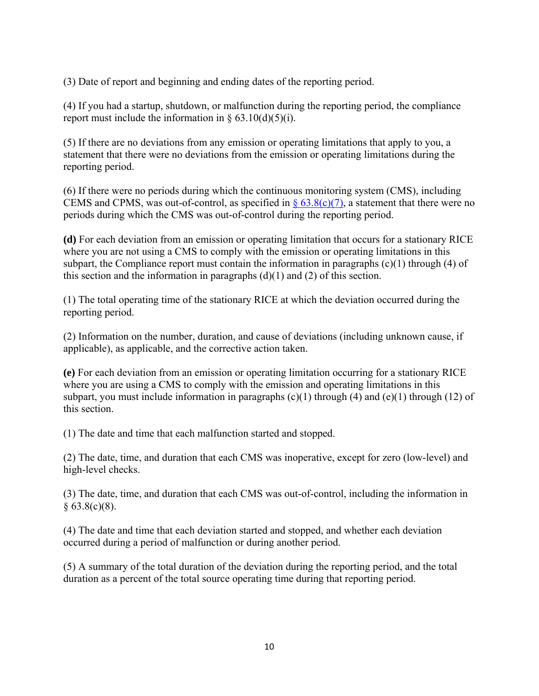(3) Date of report and beginning and ending dates of the reporting period.

(4) If you had a startup, shutdown, or malfunction during the reporting period, the compliance report must include the information in  $\S 63.10(d)(5)(i)$ .

(5) If there are no deviations from any emission or operating limitations that apply to you, a statement that there were no deviations from the emission or operating limitations during the reporting period.

(6) If there were no periods during which the continuous monitoring system (CMS), including CEMS and CPMS, was out-of-control, as specified in  $\S 63.8(c)(7)$ , a statement that there were no periods during which the CMS was out-of-control during the reporting period.

**(d)** For each deviation from an emission or operating limitation that occurs for a stationary RICE where you are not using a CMS to comply with the emission or operating limitations in this subpart, the Compliance report must contain the information in paragraphs  $(c)(1)$  through (4) of this section and the information in paragraphs  $(d)(1)$  and  $(2)$  of this section.

(1) The total operating time of the stationary RICE at which the deviation occurred during the reporting period.

(2) Information on the number, duration, and cause of deviations (including unknown cause, if applicable), as applicable, and the corrective action taken.

**(e)** For each deviation from an emission or operating limitation occurring for a stationary RICE where you are using a CMS to comply with the emission and operating limitations in this subpart, you must include information in paragraphs  $(c)(1)$  through  $(4)$  and  $(e)(1)$  through  $(12)$  of this section.

(1) The date and time that each malfunction started and stopped.

(2) The date, time, and duration that each CMS was inoperative, except for zero (low-level) and high-level checks.

(3) The date, time, and duration that each CMS was out-of-control, including the information in  $§ 63.8(c)(8).$ 

(4) The date and time that each deviation started and stopped, and whether each deviation occurred during a period of malfunction or during another period.

(5) A summary of the total duration of the deviation during the reporting period, and the total duration as a percent of the total source operating time during that reporting period.